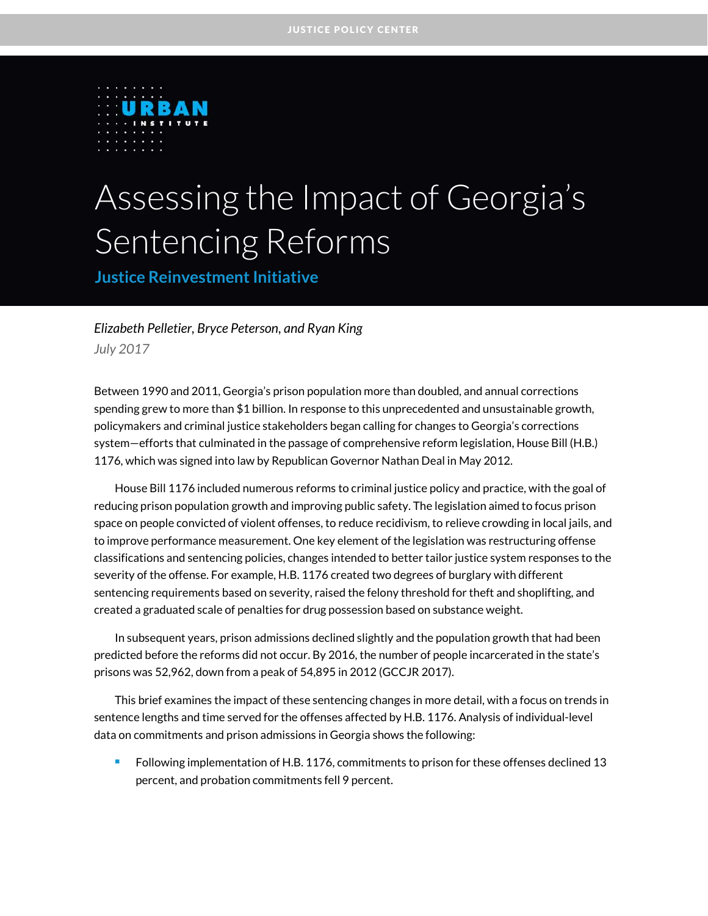

# Assessing the Impact of Georgia's Sentencing Reforms

**Justice Reinvestment Initiative**

*Elizabeth Pelletier, Bryce Peterson, and Ryan King July 2017*

Between 1990 and 2011, Georgia's prison population more than doubled, and annual corrections spending grew to more than \$1 billion. In response to this unprecedented and unsustainable growth, policymakers and criminal justice stakeholders began calling for changes to Georgia's corrections system—efforts that culminated in the passage of comprehensive reform legislation, House Bill (H.B.) 1176, which was signed into law by Republican Governor Nathan Deal in May 2012.

House Bill 1176 included numerous reforms to criminal justice policy and practice, with the goal of reducing prison population growth and improving public safety. The legislation aimed to focus prison space on people convicted of violent offenses, to reduce recidivism, to relieve crowding in local jails, and to improve performance measurement. One key element of the legislation was restructuring offense classifications and sentencing policies, changes intended to better tailor justice system responses to the severity of the offense. For example, H.B. 1176 created two degrees of burglary with different sentencing requirements based on severity, raised the felony threshold for theft and shoplifting, and created a graduated scale of penalties for drug possession based on substance weight.

In subsequent years, prison admissions declined slightly and the population growth that had been predicted before the reforms did not occur. By 2016, the number of people incarcerated in the state's prisons was 52,962, down from a peak of 54,895 in 2012 (GCCJR 2017).

This brief examines the impact of these sentencing changes in more detail, with a focus on trends in sentence lengths and time served for the offenses affected by H.B. 1176. Analysis of individual-level data on commitments and prison admissions in Georgia shows the following:

**Following implementation of H.B. 1176, commitments to prison for these offenses declined 13** percent, and probation commitments fell 9 percent.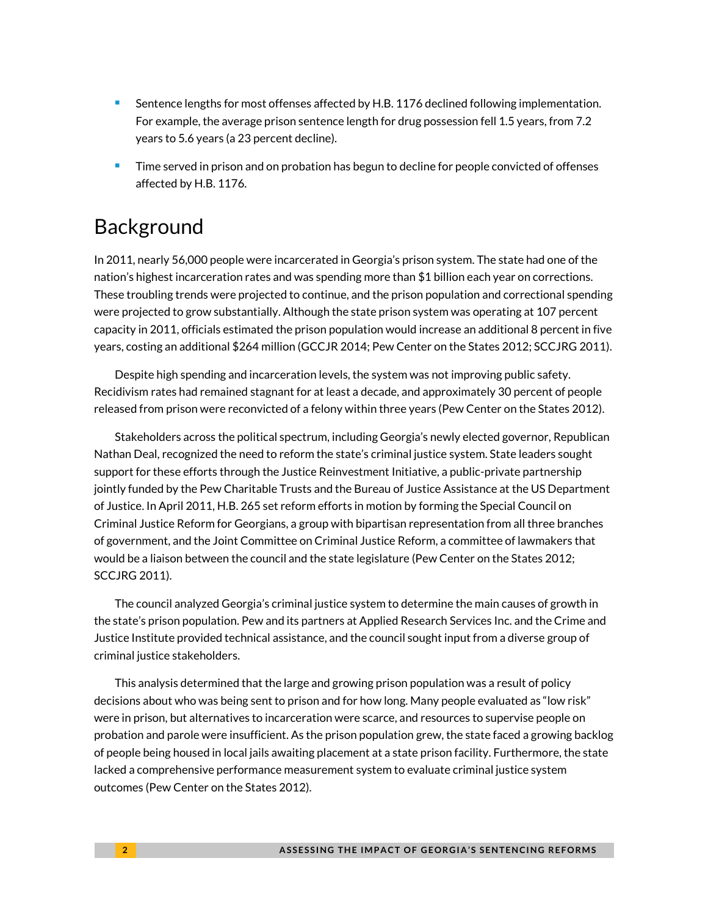- **Sentence lengths for most offenses affected by H.B. 1176 declined following implementation.** For example, the average prison sentence length for drug possession fell 1.5 years, from 7.2 years to 5.6 years (a 23 percent decline).
- Time served in prison and on probation has begun to decline for people convicted of offenses affected by H.B. 1176.

# Background

In 2011, nearly 56,000 people were incarcerated in Georgia's prison system. The state had one of the nation's highest incarceration rates and was spending more than \$1 billion each year on corrections. These troubling trends were projected to continue, and the prison population and correctional spending were projected to grow substantially. Although the state prison system was operating at 107 percent capacity in 2011, officials estimated the prison population would increase an additional 8 percent in five years, costing an additional \$264 million (GCCJR 2014; Pew Center on the States 2012; SCCJRG 2011).

Despite high spending and incarceration levels, the system was not improving public safety. Recidivism rates had remained stagnant for at least a decade, and approximately 30 percent of people released from prison were reconvicted of a felony within three years (Pew Center on the States 2012).

Stakeholders across the political spectrum, including Georgia's newly elected governor, Republican Nathan Deal, recognized the need to reform the state's criminal justice system. State leaders sought support for these efforts through the Justice Reinvestment Initiative, a public-private partnership jointly funded by the Pew Charitable Trusts and the Bureau of Justice Assistance at the US Department of Justice. In April 2011, H.B. 265 set reform efforts in motion by forming the Special Council on Criminal Justice Reform for Georgians, a group with bipartisan representation from all three branches of government, and the Joint Committee on Criminal Justice Reform, a committee of lawmakers that would be a liaison between the council and the state legislature (Pew Center on the States 2012; SCCJRG 2011).

The council analyzed Georgia's criminal justice system to determine the main causes of growth in the state's prison population. Pew and its partners at Applied Research Services Inc. and the Crime and Justice Institute provided technical assistance, and the council sought input from a diverse group of criminal justice stakeholders.

This analysis determined that the large and growing prison population was a result of policy decisions about who was being sent to prison and for how long. Many people evaluated as "low risk" were in prison, but alternatives to incarceration were scarce, and resources to supervise people on probation and parole were insufficient. As the prison population grew, the state faced a growing backlog of people being housed in local jails awaiting placement at a state prison facility. Furthermore, the state lacked a comprehensive performance measurement system to evaluate criminal justice system outcomes (Pew Center on the States 2012).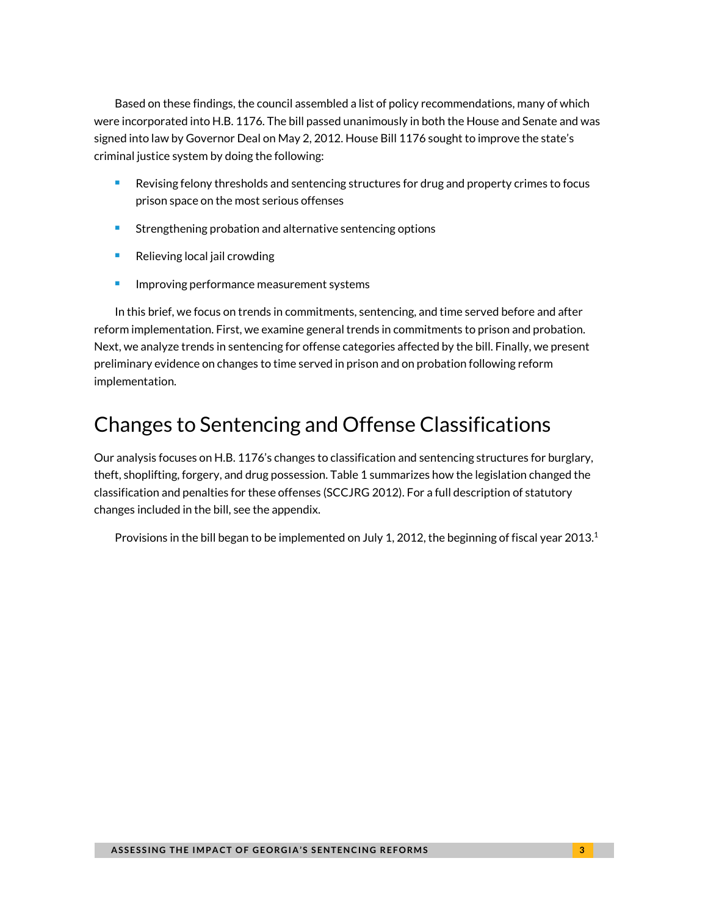Based on these findings, the council assembled a list of policy recommendations, many of which were incorporated into H.B. 1176. The bill passed unanimously in both the House and Senate and was signed into law by Governor Deal on May 2, 2012. House Bill 1176 sought to improve the state's criminal justice system by doing the following:

- **Revising felony thresholds and sentencing structures for drug and property crimes to focus** prison space on the most serious offenses
- **Strengthening probation and alternative sentencing options**
- $\blacksquare$  Relieving local jail crowding
- **Improving performance measurement systems**

In this brief, we focus on trends in commitments, sentencing, and time served before and after reform implementation. First, we examine general trends in commitments to prison and probation. Next, we analyze trends in sentencing for offense categories affected by the bill. Finally, we present preliminary evidence on changes to time served in prison and on probation following reform implementation.

# Changes to Sentencing and Offense Classifications

Our analysis focuses on H.B. 1176's changes to classification and sentencing structures for burglary, theft, shoplifting, forgery, and drug possession. Table 1 summarizes how the legislation changed the classification and penalties for these offenses (SCCJRG 2012). For a full description of statutory changes included in the bill, see the appendix.

Provisions in the bill began to be implemented on July 1, 2012, the beginning of fiscal year 2013.<sup>1</sup>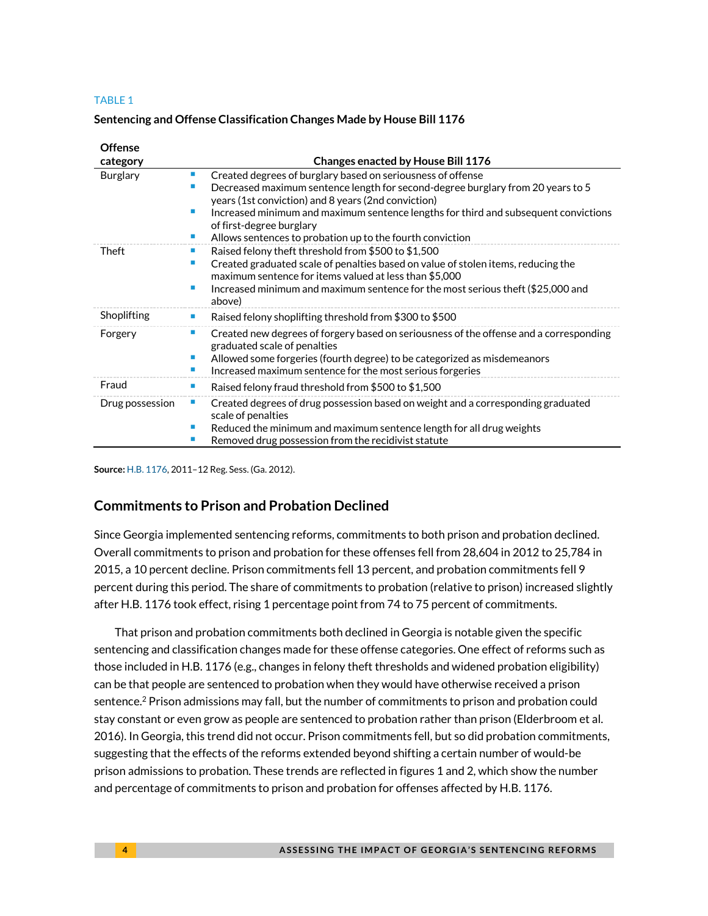#### TABLE 1

#### **Sentencing and Offense Classification Changes Made by House Bill 1176**

| <b>Offense</b>  |                                                                                                                                                                                                                                                                                                                                                                                            |  |  |  |  |  |
|-----------------|--------------------------------------------------------------------------------------------------------------------------------------------------------------------------------------------------------------------------------------------------------------------------------------------------------------------------------------------------------------------------------------------|--|--|--|--|--|
| category        | Changes enacted by House Bill 1176                                                                                                                                                                                                                                                                                                                                                         |  |  |  |  |  |
| <b>Burglary</b> | Created degrees of burglary based on seriousness of offense<br>ш<br>Decreased maximum sentence length for second-degree burglary from 20 years to 5<br>years (1st conviction) and 8 years (2nd conviction)<br>Increased minimum and maximum sentence lengths for third and subsequent convictions<br>of first-degree burglary<br>Allows sentences to probation up to the fourth conviction |  |  |  |  |  |
| Theft           | Raised felony theft threshold from \$500 to \$1,500<br>Created graduated scale of penalties based on value of stolen items, reducing the<br>maximum sentence for items valued at less than \$5,000<br>Increased minimum and maximum sentence for the most serious theft (\$25,000 and<br>above)                                                                                            |  |  |  |  |  |
| Shoplifting     | Raised felony shoplifting threshold from \$300 to \$500<br>п                                                                                                                                                                                                                                                                                                                               |  |  |  |  |  |
| Forgery         | Created new degrees of forgery based on seriousness of the offense and a corresponding<br>ш<br>graduated scale of penalties<br>Allowed some forgeries (fourth degree) to be categorized as misdemeanors<br>Increased maximum sentence for the most serious forgeries                                                                                                                       |  |  |  |  |  |
| Fraud           | Raised felony fraud threshold from \$500 to \$1,500<br>٠                                                                                                                                                                                                                                                                                                                                   |  |  |  |  |  |
| Drug possession | Created degrees of drug possession based on weight and a corresponding graduated<br>scale of penalties<br>Reduced the minimum and maximum sentence length for all drug weights<br>Removed drug possession from the recidivist statute                                                                                                                                                      |  |  |  |  |  |

**Source:** [H.B. 1176,](http://www.legis.ga.gov/legislation/en-US/Display/20112012/HB/1176) 2011–12 Reg. Sess. (Ga. 2012).

### **Commitments to Prison and Probation Declined**

Since Georgia implemented sentencing reforms, commitments to both prison and probation declined. Overall commitments to prison and probation for these offenses fell from 28,604 in 2012 to 25,784 in 2015, a 10 percent decline. Prison commitments fell 13 percent, and probation commitments fell 9 percent during this period. The share of commitments to probation (relative to prison) increased slightly after H.B. 1176 took effect, rising 1 percentage point from 74 to 75 percent of commitments.

That prison and probation commitments both declined in Georgia is notable given the specific sentencing and classification changes made for these offense categories. One effect of reforms such as those included in H.B. 1176 (e.g., changes in felony theft thresholds and widened probation eligibility) can be that people are sentenced to probation when they would have otherwise received a prison sentence.<sup>2</sup> Prison admissions may fall, but the number of commitments to prison and probation could stay constant or even grow as people are sentenced to probation rather than prison (Elderbroom et al. 2016). In Georgia, this trend did not occur. Prison commitments fell, but so did probation commitments, suggesting that the effects of the reforms extended beyond shifting a certain number of would-be prison admissions to probation. These trends are reflected in figures 1 and 2, which show the number and percentage of commitments to prison and probation for offenses affected by H.B. 1176.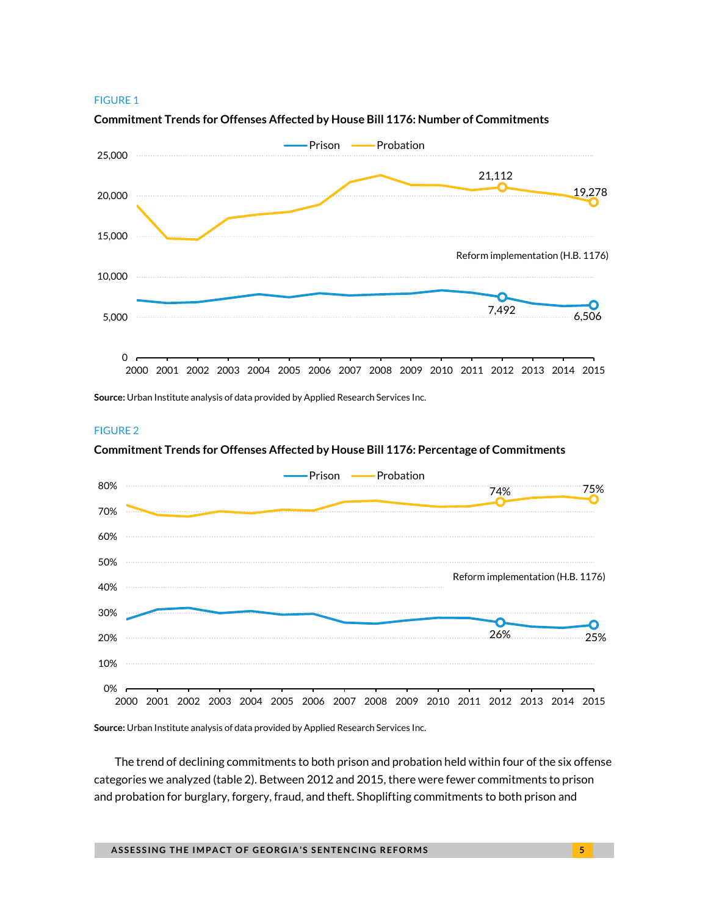#### FIGURE 1



#### **Commitment Trends for Offenses Affected by House Bill 1176: Number of Commitments**

**Source:** Urban Institute analysis of data provided by Applied Research Services Inc.



#### **Commitment Trends for Offenses Affected by House Bill 1176: Percentage of Commitments**



**Source:** Urban Institute analysis of data provided by Applied Research Services Inc.

The trend of declining commitments to both prison and probation held within four of the six offense categories we analyzed (table 2). Between 2012 and 2015, there were fewer commitments to prison and probation for burglary, forgery, fraud, and theft. Shoplifting commitments to both prison and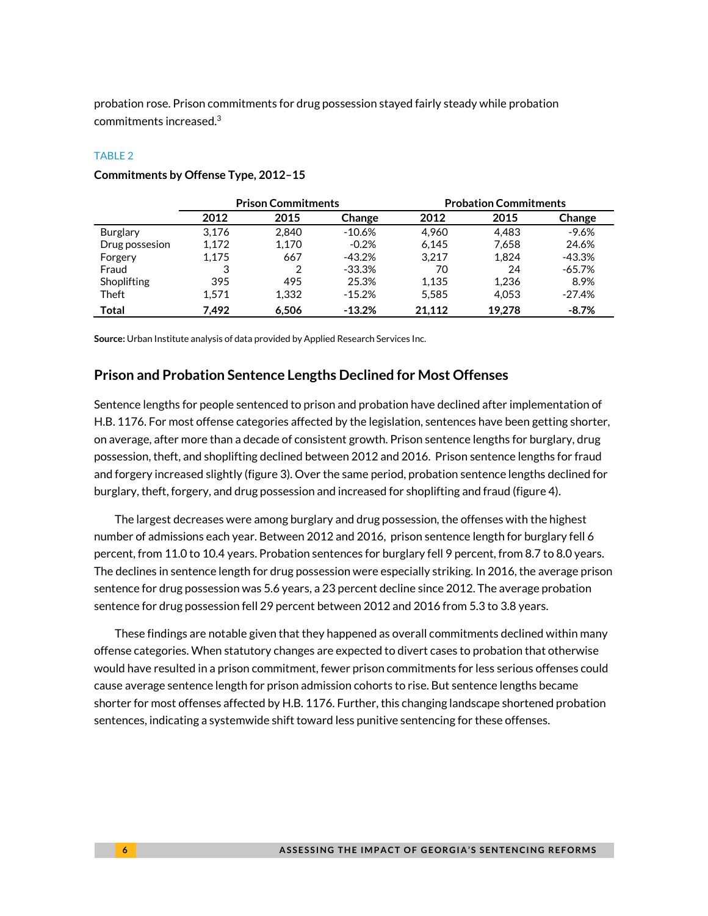probation rose. Prison commitments for drug possession stayed fairly steady while probation commitments increased.3

#### TABLE 2

|                 | <b>Prison Commitments</b> |       |           | <b>Probation Commitments</b> |        |          |
|-----------------|---------------------------|-------|-----------|------------------------------|--------|----------|
|                 | 2012                      | 2015  | Change    | 2012                         | 2015   | Change   |
| <b>Burglary</b> | 3.176                     | 2.840 | $-10.6%$  | 4.960                        | 4.483  | $-9.6%$  |
| Drug possesion  | 1.172                     | 1,170 | $-0.2%$   | 6.145                        | 7,658  | 24.6%    |
| Forgery         | 1.175                     | 667   | -43.2%    | 3.217                        | 1.824  | -43.3%   |
| Fraud           | 3                         | 2     | $-33.3\%$ | 70                           | 24     | $-65.7%$ |
| Shoplifting     | 395                       | 495   | 25.3%     | 1.135                        | 1.236  | 8.9%     |
| Theft           | 1.571                     | 1.332 | $-15.2\%$ | 5,585                        | 4.053  | $-27.4%$ |
| Total           | 7.492                     | 6,506 | $-13.2%$  | 21.112                       | 19.278 | $-8.7%$  |

#### **Commitments by Offense Type, 2012–15**

**Source:** Urban Institute analysis of data provided by Applied Research Services Inc.

#### **Prison and Probation Sentence Lengths Declined for Most Offenses**

Sentence lengths for people sentenced to prison and probation have declined after implementation of H.B. 1176. For most offense categories affected by the legislation, sentences have been getting shorter, on average, after more than a decade of consistent growth. Prison sentence lengths for burglary, drug possession, theft, and shoplifting declined between 2012 and 2016. Prison sentence lengths for fraud and forgery increased slightly (figure 3). Over the same period, probation sentence lengths declined for burglary, theft, forgery, and drug possession and increased for shoplifting and fraud (figure 4).

The largest decreases were among burglary and drug possession, the offenses with the highest number of admissions each year. Between 2012 and 2016, prison sentence length for burglary fell 6 percent, from 11.0 to 10.4 years. Probation sentences for burglary fell 9 percent, from 8.7 to 8.0 years. The declines in sentence length for drug possession were especially striking. In 2016, the average prison sentence for drug possession was 5.6 years, a 23 percent decline since 2012. The average probation sentence for drug possession fell 29 percent between 2012 and 2016 from 5.3 to 3.8 years.

These findings are notable given that they happened as overall commitments declined within many offense categories. When statutory changes are expected to divert cases to probation that otherwise would have resulted in a prison commitment, fewer prison commitments for less serious offenses could cause average sentence length for prison admission cohorts to rise. But sentence lengths became shorter for most offenses affected by H.B. 1176. Further, this changing landscape shortened probation sentences, indicating a systemwide shift toward less punitive sentencing for these offenses.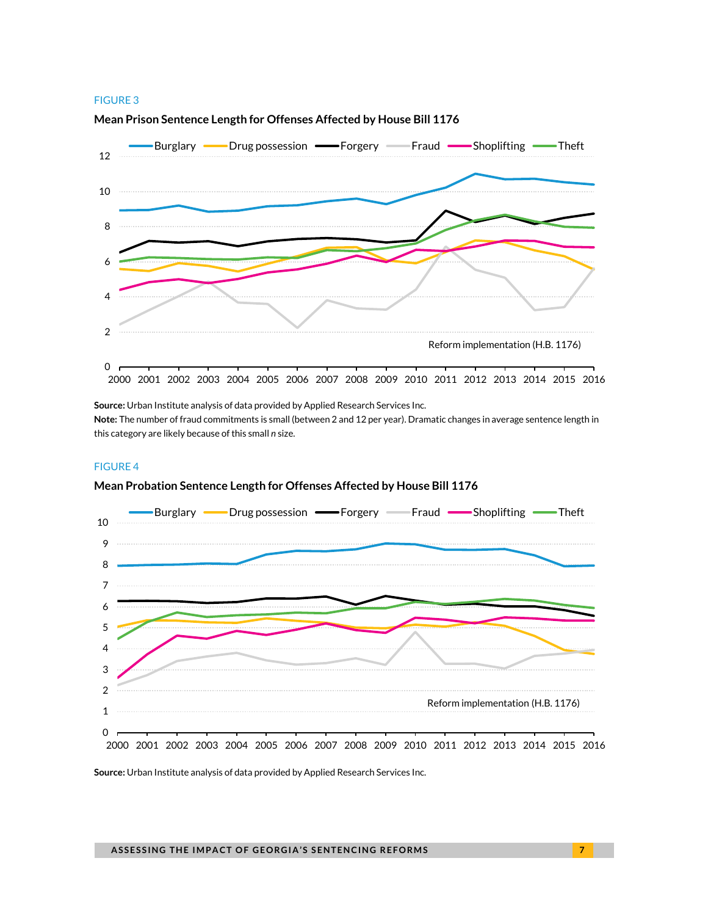#### FIGURE 3



#### **Mean Prison Sentence Length for Offenses Affected by House Bill 1176**

**Source:** Urban Institute analysis of data provided by Applied Research Services Inc.

**Note:** The number of fraud commitments is small (between 2 and 12 per year). Dramatic changes in average sentence length in this category are likely because ofthis small *n* size.

#### FIGURE 4

#### **Mean Probation Sentence Length for Offenses Affected by House Bill 1176**



**Source:** Urban Institute analysis of data provided by Applied Research Services Inc.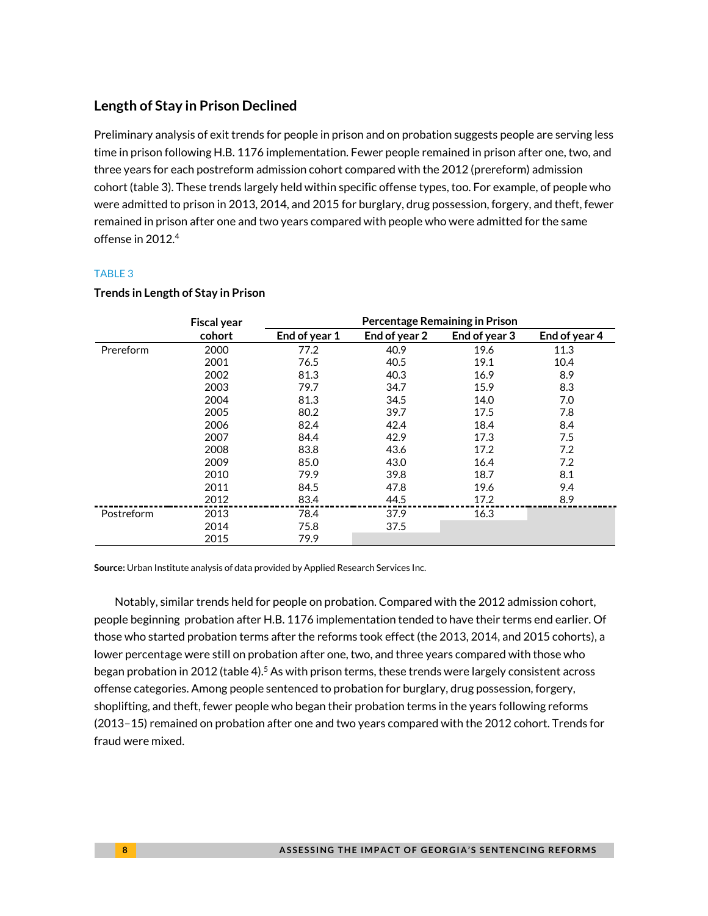### **Length of Stay in Prison Declined**

Preliminary analysis of exit trends for people in prison and on probation suggests people are serving less time in prison following H.B. 1176 implementation. Fewer people remained in prison after one, two, and three years for each postreform admission cohort compared with the 2012 (prereform) admission cohort (table 3). These trends largely held within specific offense types, too. For example, of people who were admitted to prison in 2013, 2014, and 2015 for burglary, drug possession, forgery, and theft, fewer remained in prison after one and two years compared with people who were admitted for the same offense in 2012.4

#### TABLE 3

|            | <b>Fiscal year</b> | Percentage Remaining in Prison |               |               |               |
|------------|--------------------|--------------------------------|---------------|---------------|---------------|
|            | cohort             | End of year 1                  | End of year 2 | End of year 3 | End of year 4 |
| Prereform  | 2000               | 77.2                           | 40.9          | 19.6          | 11.3          |
|            | 2001               | 76.5                           | 40.5          | 19.1          | 10.4          |
|            | 2002               | 81.3                           | 40.3          | 16.9          | 8.9           |
|            | 2003               | 79.7                           | 34.7          | 15.9          | 8.3           |
|            | 2004               | 81.3                           | 34.5          | 14.0          | 7.0           |
|            | 2005               | 80.2                           | 39.7          | 17.5          | 7.8           |
|            | 2006               | 82.4                           | 42.4          | 18.4          | 8.4           |
|            | 2007               | 84.4                           | 42.9          | 17.3          | 7.5           |
|            | 2008               | 83.8                           | 43.6          | 17.2          | 7.2           |
|            | 2009               | 85.0                           | 43.0          | 16.4          | 7.2           |
|            | 2010               | 79.9                           | 39.8          | 18.7          | 8.1           |
|            | 2011               | 84.5                           | 47.8          | 19.6          | 9.4           |
|            | 2012               | 83.4                           | 44.5          | 17.2          | 8.9           |
| Postreform | 2013               | 78.4                           | 37.9          | 16.3          |               |
|            | 2014               | 75.8                           | 37.5          |               |               |
|            | 2015               | 79.9                           |               |               |               |

#### **Trends in Length of Stay in Prison**

**Source:** Urban Institute analysis of data provided by Applied Research Services Inc.

Notably, similar trends held for people on probation. Compared with the 2012 admission cohort, people beginning probation after H.B. 1176 implementation tended to have their terms end earlier. Of those who started probation terms after the reforms took effect (the 2013, 2014, and 2015 cohorts), a lower percentage were still on probation after one, two, and three years compared with those who began probation in 2012 (table 4).<sup>5</sup> As with prison terms, these trends were largely consistent across offense categories. Among people sentenced to probation for burglary, drug possession, forgery, shoplifting, and theft, fewer people who began their probation terms in the years following reforms (2013–15) remained on probation after one and two years compared with the 2012 cohort. Trends for fraud were mixed.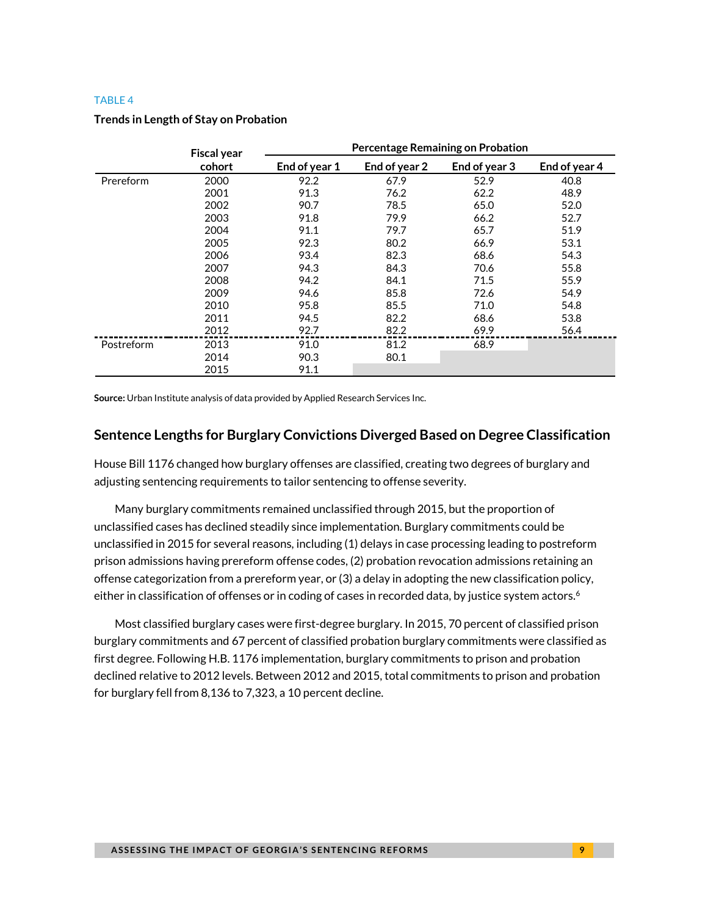#### TABLE 4

|            | <b>Fiscal year</b> |               | <b>Percentage Remaining on Probation</b> |               |               |
|------------|--------------------|---------------|------------------------------------------|---------------|---------------|
|            | cohort             | End of year 1 | End of year 2                            | End of year 3 | End of year 4 |
| Prereform  | 2000               | 92.2          | 67.9                                     | 52.9          | 40.8          |
|            | 2001               | 91.3          | 76.2                                     | 62.2          | 48.9          |
|            | 2002               | 90.7          | 78.5                                     | 65.0          | 52.0          |
|            | 2003               | 91.8          | 79.9                                     | 66.2          | 52.7          |
|            | 2004               | 91.1          | 79.7                                     | 65.7          | 51.9          |
|            | 2005               | 92.3          | 80.2                                     | 66.9          | 53.1          |
|            | 2006               | 93.4          | 82.3                                     | 68.6          | 54.3          |
|            | 2007               | 94.3          | 84.3                                     | 70.6          | 55.8          |
|            | 2008               | 94.2          | 84.1                                     | 71.5          | 55.9          |
|            | 2009               | 94.6          | 85.8                                     | 72.6          | 54.9          |
|            | 2010               | 95.8          | 85.5                                     | 71.0          | 54.8          |
|            | 2011               | 94.5          | 82.2                                     | 68.6          | 53.8          |
|            | 2012               | 92.7          | 82.2                                     | 69.9          | 56.4          |
| Postreform | 2013               | 91.0          | 81.2                                     | 68.9          |               |
|            | 2014               | 90.3          | 80.1                                     |               |               |
|            | 2015               | 91.1          |                                          |               |               |

#### **Trends in Length of Stay on Probation**

**Source:** Urban Institute analysis of data provided by Applied Research Services Inc.

### **Sentence Lengths for Burglary Convictions Diverged Based on Degree Classification**

House Bill 1176 changed how burglary offenses are classified, creating two degrees of burglary and adjusting sentencing requirements to tailor sentencing to offense severity.

Many burglary commitments remained unclassified through 2015, but the proportion of unclassified cases has declined steadily since implementation. Burglary commitments could be unclassified in 2015 for several reasons, including (1) delays in case processing leading to postreform prison admissions having prereform offense codes, (2) probation revocation admissions retaining an offense categorization from a prereform year, or (3) a delay in adopting the new classification policy, either in classification of offenses or in coding of cases in recorded data, by justice system actors.<sup>6</sup>

Most classified burglary cases were first-degree burglary. In 2015, 70 percent of classified prison burglary commitments and 67 percent of classified probation burglary commitments were classified as first degree. Following H.B. 1176 implementation, burglary commitments to prison and probation declined relative to 2012 levels. Between 2012 and 2015, total commitments to prison and probation for burglary fell from 8,136 to 7,323, a 10 percent decline.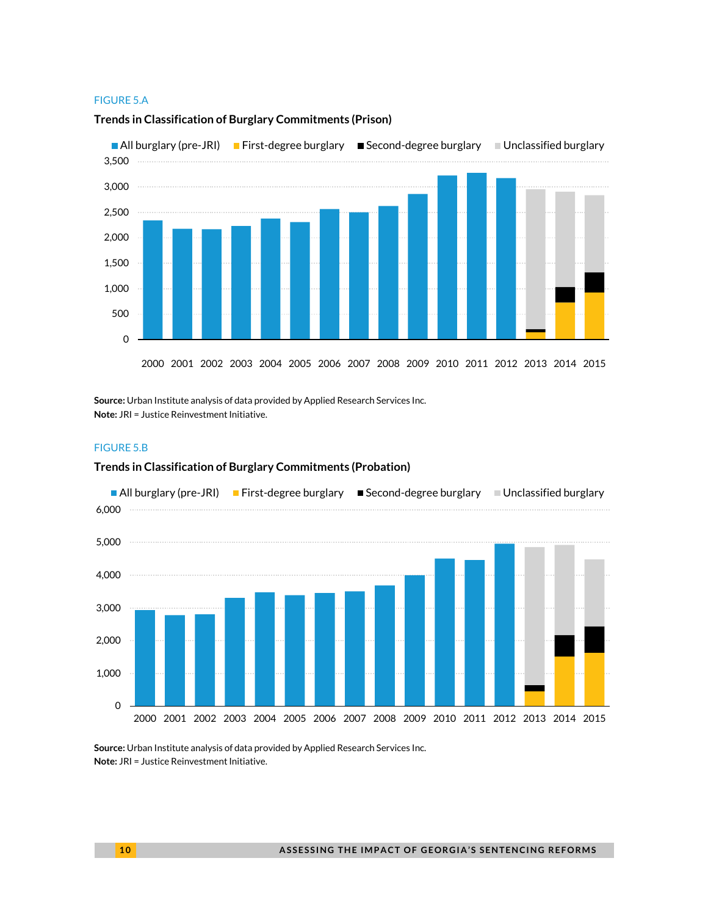#### FIGURE 5.A



#### **Trends in Classification of Burglary Commitments (Prison)**

**Source:** Urban Institute analysis of data provided by Applied Research Services Inc. **Note:** JRI = Justice Reinvestment Initiative.

#### FIGURE 5.B

#### **Trends in Classification of Burglary Commitments (Probation)**



**Source:** Urban Institute analysis of data provided by Applied Research Services Inc. **Note:** JRI = Justice Reinvestment Initiative.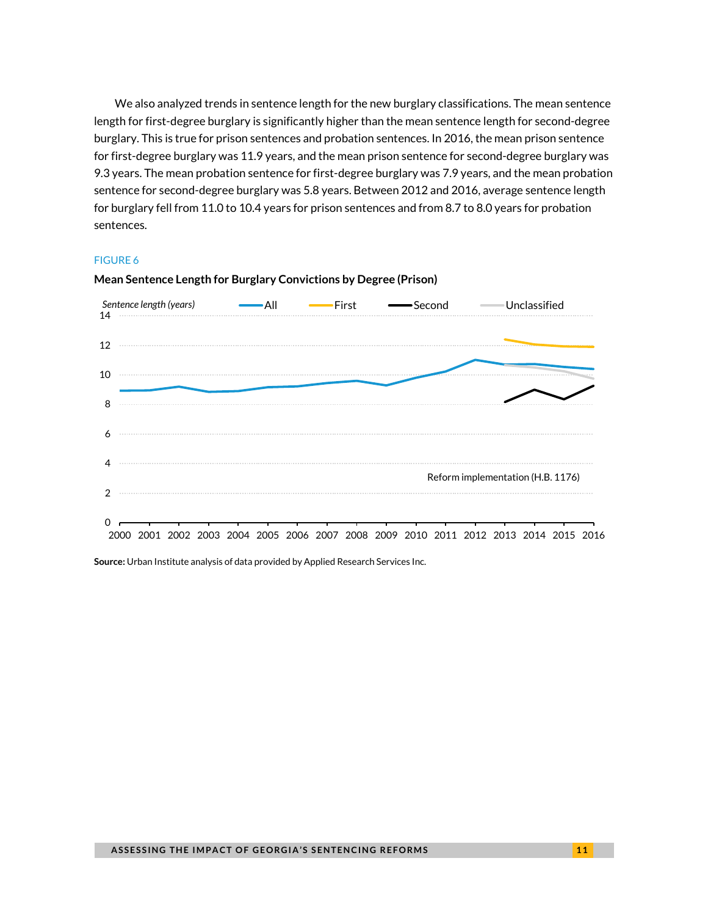We also analyzed trends in sentence length for the new burglary classifications. The mean sentence length for first-degree burglary is significantly higher than the mean sentence length for second-degree burglary. This is true for prison sentences and probation sentences. In 2016, the mean prison sentence for first-degree burglary was 11.9 years, and the mean prison sentence for second-degree burglary was 9.3 years. The mean probation sentence for first-degree burglary was 7.9 years, and the mean probation sentence for second-degree burglary was 5.8 years. Between 2012 and 2016, average sentence length for burglary fell from 11.0 to 10.4 years for prison sentences and from 8.7 to 8.0 years for probation sentences.

#### FIGURE 6



#### **Mean Sentence Length for Burglary Convictions by Degree (Prison)**

**Source:** Urban Institute analysis of data provided by Applied Research Services Inc.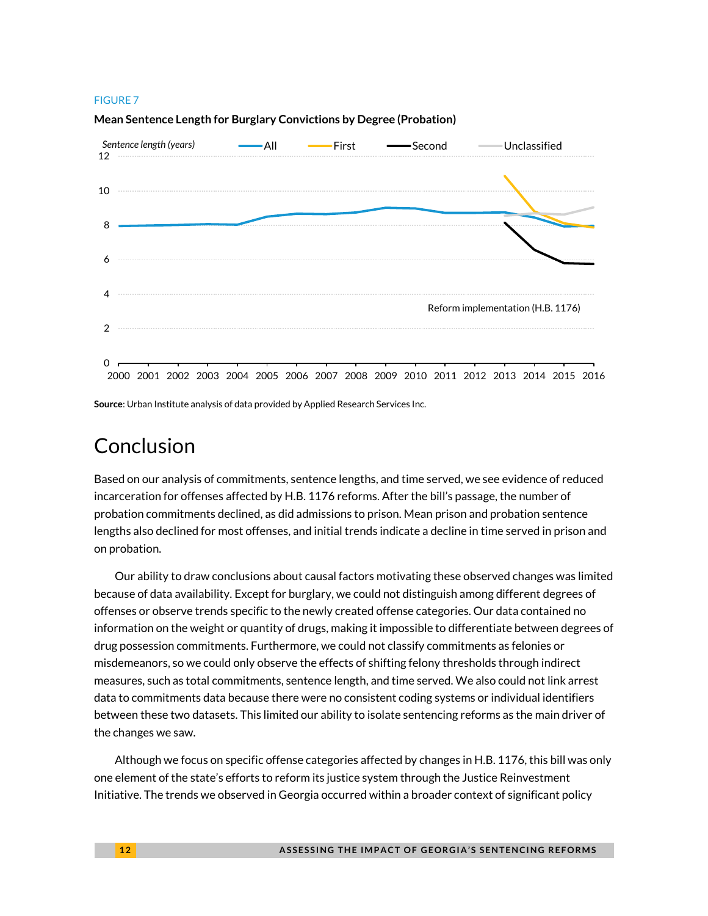#### FIGURE 7



**Mean Sentence Length for Burglary Convictions by Degree (Probation)**

**Source**: Urban Institute analysis of data provided by Applied Research Services Inc.

### Conclusion

Based on our analysis of commitments, sentence lengths, and time served, we see evidence of reduced incarceration for offenses affected by H.B. 1176 reforms. After the bill's passage, the number of probation commitments declined, as did admissions to prison. Mean prison and probation sentence lengths also declined for most offenses, and initial trends indicate a decline in time served in prison and on probation.

Our ability to draw conclusions about causal factors motivating these observed changes was limited because of data availability. Except for burglary, we could not distinguish among different degrees of offenses or observe trends specific to the newly created offense categories. Our data contained no information on the weight or quantity of drugs, making it impossible to differentiate between degrees of drug possession commitments. Furthermore, we could not classify commitments as felonies or misdemeanors, so we could only observe the effects of shifting felony thresholds through indirect measures, such as total commitments, sentence length, and time served. We also could not link arrest data to commitments data because there were no consistent coding systems or individual identifiers between these two datasets. This limited our ability to isolate sentencing reforms as the main driver of the changes we saw.

Although we focus on specific offense categories affected by changes in H.B. 1176, this bill was only one element of the state's efforts to reform its justice system through the Justice Reinvestment Initiative. The trends we observed in Georgia occurred within a broader context of significant policy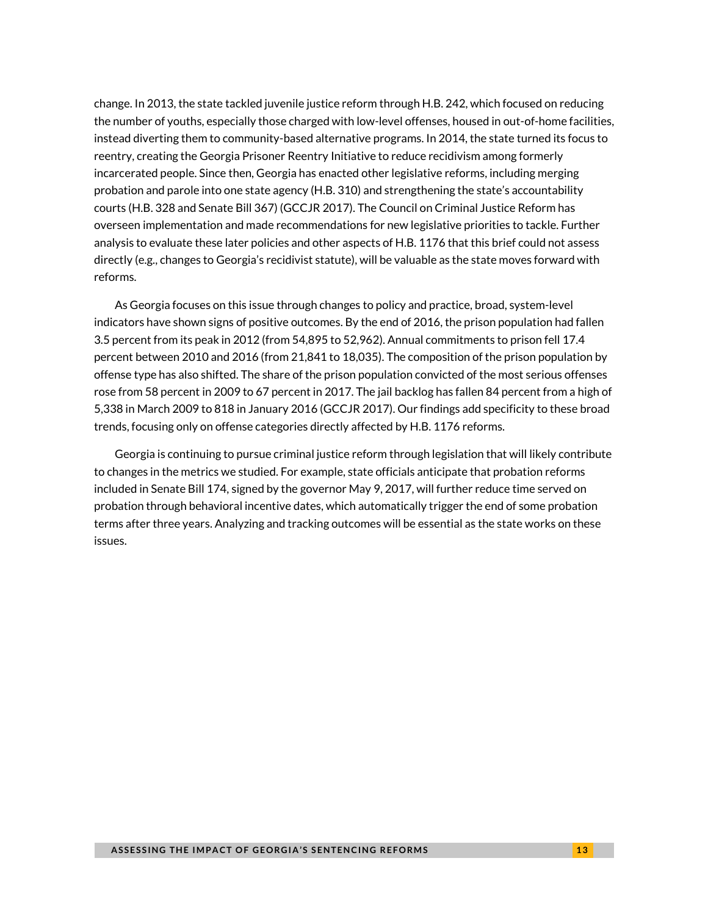change. In 2013, the state tackled juvenile justice reform through H.B. 242, which focused on reducing the number of youths, especially those charged with low-level offenses, housed in out-of-home facilities, instead diverting them to community-based alternative programs. In 2014, the state turned its focus to reentry, creating the Georgia Prisoner Reentry Initiative to reduce recidivism among formerly incarcerated people. Since then, Georgia has enacted other legislative reforms, including merging probation and parole into one state agency (H.B. 310) and strengthening the state's accountability courts (H.B. 328 and Senate Bill 367) (GCCJR 2017). The Council on Criminal Justice Reform has overseen implementation and made recommendations for new legislative priorities to tackle. Further analysis to evaluate these later policies and other aspects of H.B. 1176 that this brief could not assess directly (e.g., changes to Georgia's recidivist statute), will be valuable as the state moves forward with reforms.

As Georgia focuses on this issue through changes to policy and practice, broad, system-level indicators have shown signs of positive outcomes. By the end of 2016, the prison population had fallen 3.5 percent from its peak in 2012 (from 54,895 to 52,962). Annual commitments to prison fell 17.4 percent between 2010 and 2016 (from 21,841 to 18,035). The composition of the prison population by offense type has also shifted. The share of the prison population convicted of the most serious offenses rose from 58 percent in 2009 to 67 percent in 2017. The jail backlog has fallen 84 percent from a high of 5,338 in March 2009 to 818 in January 2016 (GCCJR 2017). Our findings add specificity to these broad trends, focusing only on offense categories directly affected by H.B. 1176 reforms.

Georgia is continuing to pursue criminal justice reform through legislation that will likely contribute to changes in the metrics we studied. For example, state officials anticipate that probation reforms included in Senate Bill 174, signed by the governor May 9, 2017, will further reduce time served on probation through behavioral incentive dates, which automatically trigger the end of some probation terms after three years. Analyzing and tracking outcomes will be essential as the state works on these issues.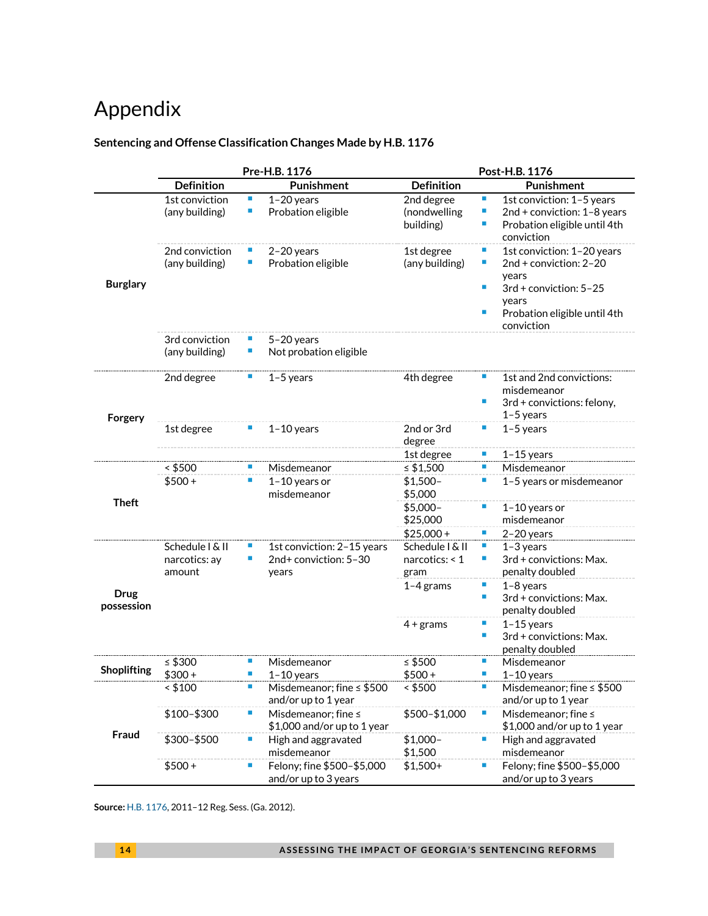# Appendix

### **Sentencing and Offense Classification Changes Made by H.B. 1176**

|                           | Pre-H.B. 1176                              |         |                                                              | Post-H.B. 1176                            |                                  |                                                                                                                                                |
|---------------------------|--------------------------------------------|---------|--------------------------------------------------------------|-------------------------------------------|----------------------------------|------------------------------------------------------------------------------------------------------------------------------------------------|
|                           | <b>Definition</b>                          |         | <b>Punishment</b>                                            | <b>Definition</b>                         |                                  | <b>Punishment</b>                                                                                                                              |
| <b>Burglary</b>           | 1st conviction<br>(any building)           | ш<br>П  | $1-20$ years<br>Probation eligible                           | 2nd degree<br>(nondwelling<br>building)   | п<br>п<br>п                      | 1st conviction: 1-5 years<br>2nd + conviction: 1-8 years<br>Probation eligible until 4th<br>conviction                                         |
|                           | 2nd conviction<br>(any building)           | п       | $2-20$ years<br>Probation eligible                           | 1st degree<br>(any building)              | ×<br>п<br>п<br>п                 | 1st conviction: 1-20 years<br>2nd + conviction: 2-20<br>years<br>3rd + conviction: 5-25<br>years<br>Probation eligible until 4th<br>conviction |
|                           | 3rd conviction<br>(any building)           | п       | $5 - 20$ years<br>Not probation eligible                     |                                           |                                  |                                                                                                                                                |
| Forgery                   | 2nd degree                                 | п       | $1-5$ years                                                  | 4th degree                                | $\mathcal{L}_{\mathcal{A}}$<br>п | 1st and 2nd convictions:<br>misdemeanor<br>3rd + convictions: felony,<br>$1-5$ years                                                           |
|                           | 1st degree                                 |         | $1 - 10$ years                                               | 2nd or 3rd<br>degree                      | п                                | $1-5$ years                                                                                                                                    |
|                           |                                            |         |                                                              | 1st degree                                | ш                                | $1-15$ years                                                                                                                                   |
|                           | $<$ \$500                                  | п       | Misdemeanor                                                  | ≤ $$1,500$                                | п                                | Misdemeanor                                                                                                                                    |
| <b>Theft</b>              | $$500+$                                    | П       | 1-10 years or<br>misdemeanor                                 | $$1,500-$<br>\$5,000                      | ×                                | 1-5 years or misdemeanor                                                                                                                       |
|                           |                                            |         |                                                              | $$5,000-$<br>\$25,000                     | $\mathcal{L}_{\mathcal{A}}$      | 1-10 years or<br>misdemeanor                                                                                                                   |
|                           |                                            |         |                                                              | $$25,000+$                                | $\mathcal{L}_{\mathcal{A}}$      | $2-20$ years                                                                                                                                   |
| <b>Drug</b><br>possession | Schedule I & II<br>narcotics: ay<br>amount |         | 1st conviction: 2-15 years<br>2nd+ conviction: 5-30<br>years | Schedule I & II<br>narcotics: < 1<br>gram | ш<br>п                           | $1-3$ years<br>3rd + convictions: Max.<br>penalty doubled                                                                                      |
|                           |                                            |         |                                                              | $1-4$ grams                               | $\mathcal{L}_{\mathcal{A}}$<br>п | $1-8$ years<br>3rd + convictions: Max.<br>penalty doubled                                                                                      |
|                           |                                            |         |                                                              | $4 +$ grams                               | ×<br>п                           | $1-15$ years<br>3rd + convictions: Max.<br>penalty doubled                                                                                     |
| <b>Shoplifting</b>        | ≤ $$300$<br>$$300+$                        | п<br>I. | Misdemeanor<br>$1 - 10$ years                                | $\leq$ \$500<br>$$500+$                   | п<br>п                           | Misdemeanor<br>$1-10$ years                                                                                                                    |
| Fraud                     | < \$100                                    | П       | Misdemeanor; fine ≤ \$500<br>and/or up to 1 year             | ~5500                                     | ×                                | Misdemeanor; fine ≤ \$500<br>and/or up to 1 year                                                                                               |
|                           | \$100-\$300                                | ш       | Misdemeanor; fine ≤<br>\$1,000 and/or up to 1 year           | \$500-\$1,000                             | $\mathcal{L}_{\mathcal{A}}$      | Misdemeanor; fine ≤<br>\$1,000 and/or up to 1 year                                                                                             |
|                           | \$300-\$500                                | ×       | High and aggravated<br>misdemeanor                           | $$1,000-$<br>\$1,500                      | $\mathcal{L}_{\mathcal{A}}$      | High and aggravated<br>misdemeanor                                                                                                             |
|                           | $$500+$                                    | I.      | Felony; fine \$500-\$5,000<br>and/or up to 3 years           | $$1,500+$                                 | ш                                | Felony; fine \$500-\$5,000<br>and/or up to 3 years                                                                                             |

**Source:** [H.B. 1176,](http://www.legis.ga.gov/legislation/en-US/Display/20112012/HB/1176) 2011–12 Reg. Sess. (Ga. 2012).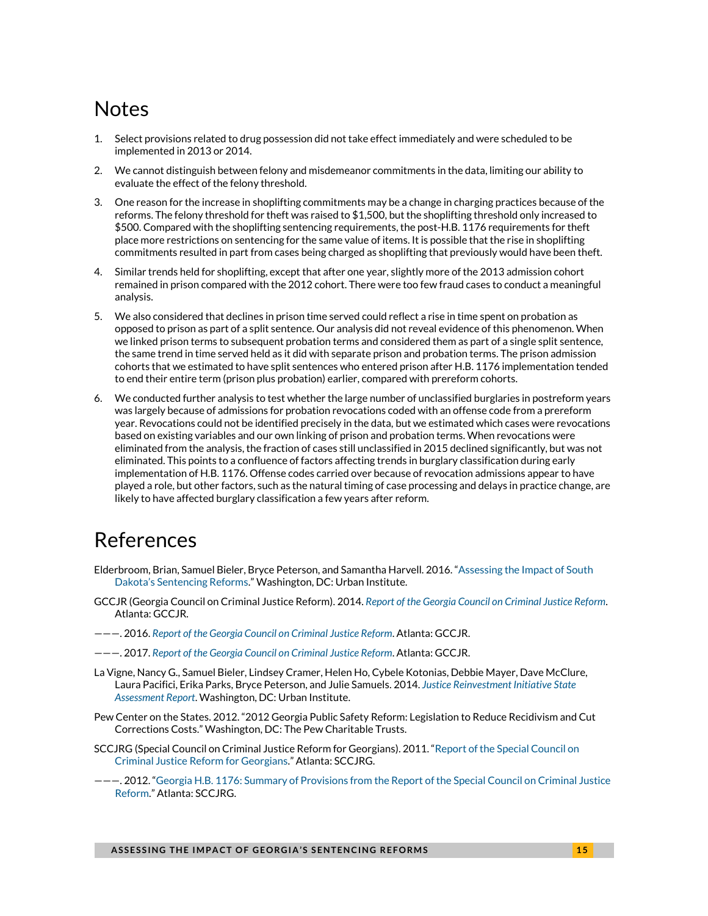### **Notes**

- <span id="page-14-0"></span>1. Select provisions related to drug possession did not take effect immediately and were scheduled to be implemented in 2013 or 2014.
- 2. We cannot distinguish between felony and misdemeanor commitments in the data, limiting our ability to evaluate the effect of the felony threshold.
- 3. One reason for the increase in shoplifting commitments may be a change in charging practices because of the reforms. The felony threshold for theft was raised to \$1,500, but the shoplifting threshold only increased to \$500. Compared with the shoplifting sentencing requirements, the post-H.B. 1176 requirements for theft place more restrictions on sentencing for the same value of items. It is possible that the rise in shoplifting commitments resulted in part from cases being charged as shoplifting that previously would have been theft.
- 4. Similar trends held for shoplifting, except that after one year, slightly more of the 2013 admission cohort remained in prison compared with the 2012 cohort. There were too few fraud cases to conduct a meaningful analysis.
- 5. We also considered that declines in prison time served could reflect a rise in time spent on probation as opposed to prison as part of a split sentence. Our analysis did not reveal evidence of this phenomenon. When we linked prison terms to subsequent probation terms and considered them as part of a single split sentence, the same trend in time served held as it did with separate prison and probation terms. The prison admission cohorts that we estimated to have split sentences who entered prison after H.B. 1176 implementation tended to end their entire term (prison plus probation) earlier, compared with prereform cohorts.
- 6. We conducted further analysis to test whether the large number of unclassified burglaries in postreform years was largely because of admissions for probation revocations coded with an offense code from a prereform year. Revocations could not be identified precisely in the data, but we estimated which cases were revocations based on existing variables and our own linking of prison and probation terms. When revocations were eliminated from the analysis, the fraction of cases still unclassified in 2015 declined significantly, but was not eliminated. This points to a confluence of factors affecting trends in burglary classification during early implementation of H.B. 1176. Offense codes carried over because of revocation admissions appear to have played a role, but other factors, such as the natural timing of case processing and delays in practice change, are likely to have affected burglary classification a few years after reform.

### References

- Elderbroom, Brian, Samuel Bieler, Bryce Peterson, and Samantha Harvell. 2016. ["Assessing the Impact of South](http://www.urban.org/research/publication/assessing-impact-south-dakotas-sentencing-reforms-justice-reinvestment-initiative)  [Dakota's Sentencing Reforms."](http://www.urban.org/research/publication/assessing-impact-south-dakotas-sentencing-reforms-justice-reinvestment-initiative) Washington, DC: Urban Institute.
- GCCJR (Georgia Council on Criminal Justice Reform). 2014. *[Report of the Georgia Council on Criminal Justice Reform](https://dcs.georgia.gov/sites/dcs.georgia.gov/files/related_files/site_page/2013-GA-Council-on-Criminal-Justice-Reform.pdf)*. Atlanta: GCCJR.
- ———. 2016. *[Report of the Georgia Council on Criminal Justice Reform](https://gov.georgia.gov/sites/gov.georgia.gov/files/related_files/document/GA%20Council%20on%20Criminal%20Justice%20Reform_2016%20Report_Final.pdf)*. Atlanta: GCCJR.
- ———. 2017. *[Report of the Georgia Council on Criminal Justice Reform](https://csgjusticecenter.org/wp-content/uploads/2017/02/JR-in-GA_Report-of-the-Council-on-CJ-Reform.pdf)*. Atlanta: GCCJR.
- La Vigne, Nancy G., Samuel Bieler, Lindsey Cramer, Helen Ho, Cybele Kotonias, Debbie Mayer, Dave McClure, Laura Pacifici, Erika Parks, Bryce Peterson, and Julie Samuels. 2014. *[Justice Reinvestment Initiative State](http://www.urban.org/research/publication/justice-reinvestment-initiative-state-assessment-report)  [Assessment Report](http://www.urban.org/research/publication/justice-reinvestment-initiative-state-assessment-report)*. Washington, DC: Urban Institute.
- Pew Center on the States. 2012. "2012 Georgia Public Safety Reform: Legislation to Reduce Recidivism and Cut Corrections Costs." Washington, DC: The Pew Charitable Trusts.
- SCCJRG (Special Council on Criminal Justice Reform for Georgians). 2011. ["Report of the Special Council on](http://www.legis.ga.gov/Documents/GACouncilReport-FINALDRAFT.pdf)  [Criminal Justice Reform for Georgians."](http://www.legis.ga.gov/Documents/GACouncilReport-FINALDRAFT.pdf) Atlanta: SCCJRG.
- ———. 2012. "Georgia H.B. [1176: Summary of Provisions from the Report of the Special Council on Criminal Justice](http://static1.1.sqspcdn.com/static/f/1176392/17483196/1333549778370/Georgia-HB-1176-Corrections-Reform-Summary.pdf?token=OBRgx39rRKBFGhbMmC7Hp5CREBI%3D)  [Reform."](http://static1.1.sqspcdn.com/static/f/1176392/17483196/1333549778370/Georgia-HB-1176-Corrections-Reform-Summary.pdf?token=OBRgx39rRKBFGhbMmC7Hp5CREBI%3D) Atlanta: SCCJRG.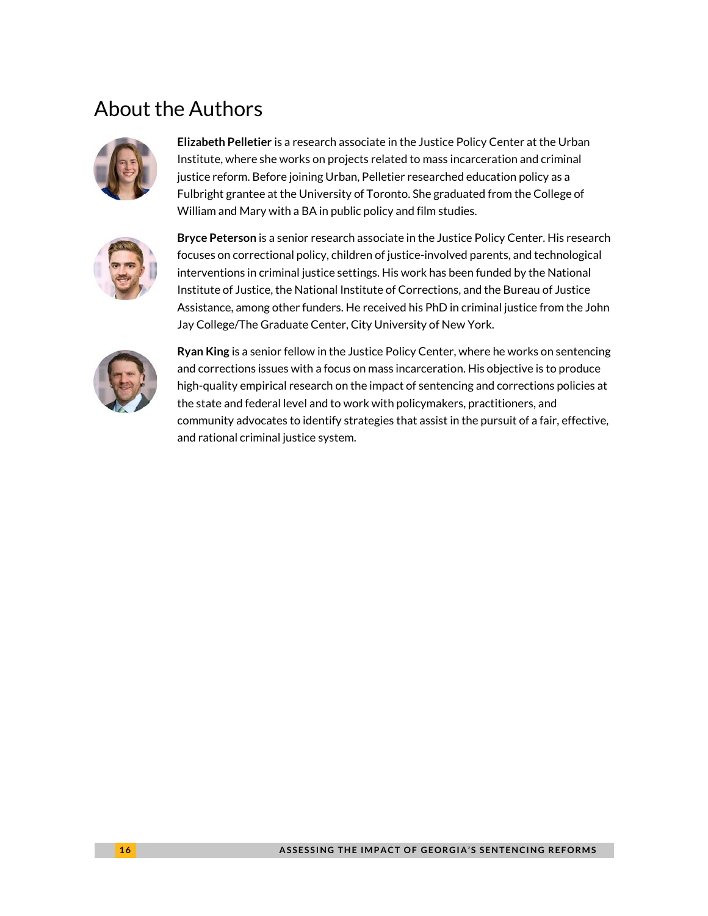# About the Authors



**Elizabeth Pelletier** is a research associate in the Justice Policy Center at the Urban Institute, where she works on projects related to mass incarceration and criminal justice reform. Before joining Urban, Pelletier researched education policy as a Fulbright grantee at the University of Toronto. She graduated from the College of William and Mary with a BA in public policy and film studies.



**Bryce Peterson** is a senior research associate in the Justice Policy Center. His research focuses on correctional policy, children of justice-involved parents, and technological interventions in criminal justice settings. His work has been funded by the National Institute of Justice, the National Institute of Corrections, and the Bureau of Justice Assistance, among other funders. He received his PhD in criminal justice from the John Jay College/The Graduate Center, City University of New York.



**Ryan King** is a senior fellow in the Justice Policy Center, where he works on sentencing and corrections issues with a focus on mass incarceration. His objective is to produce high-quality empirical research on the impact of sentencing and corrections policies at the state and federal level and to work with policymakers, practitioners, and community advocates to identify strategies that assist in the pursuit of a fair, effective, and rational criminal justice system.